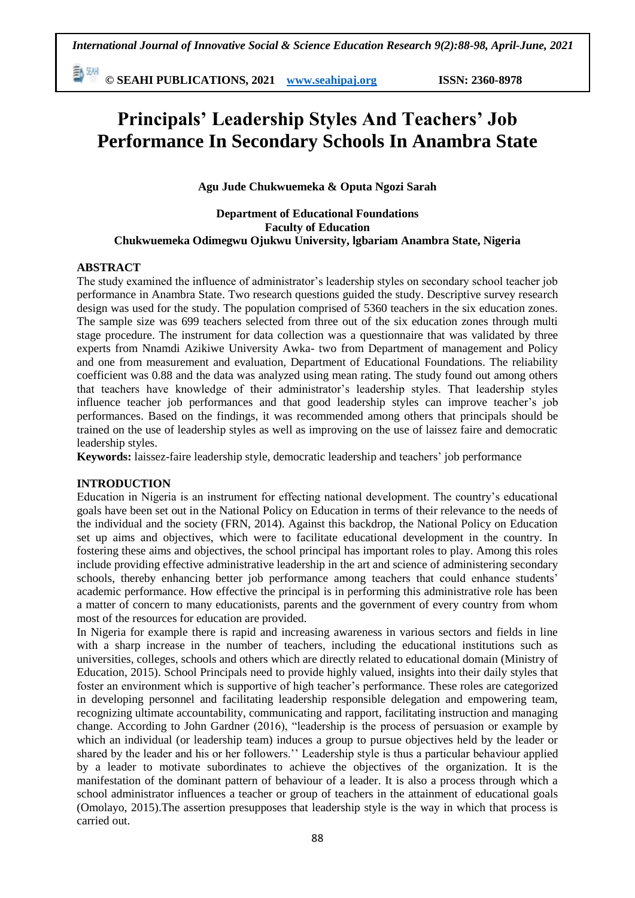動腳 **© SEAHI PUBLICATIONS, 2021 [www.seahipaj.org](http://www.seahipaj.org/) ISSN: 2360-8978**

# **Principals' Leadership Styles And Teachers' Job Performance In Secondary Schools In Anambra State**

**Agu Jude Chukwuemeka & Oputa Ngozi Sarah** 

## **Department of Educational Foundations Faculty of Education Chukwuemeka Odimegwu Ojukwu University, lgbariam Anambra State, Nigeria**

# **ABSTRACT**

The study examined the influence of administrator's leadership styles on secondary school teacher job performance in Anambra State. Two research questions guided the study. Descriptive survey research design was used for the study. The population comprised of 5360 teachers in the six education zones. The sample size was 699 teachers selected from three out of the six education zones through multi stage procedure. The instrument for data collection was a questionnaire that was validated by three experts from Nnamdi Azikiwe University Awka- two from Department of management and Policy and one from measurement and evaluation, Department of Educational Foundations. The reliability coefficient was 0.88 and the data was analyzed using mean rating. The study found out among others that teachers have knowledge of their administrator's leadership styles. That leadership styles influence teacher job performances and that good leadership styles can improve teacher's job performances. Based on the findings, it was recommended among others that principals should be trained on the use of leadership styles as well as improving on the use of laissez faire and democratic leadership styles.

**Keywords:** laissez-faire leadership style, democratic leadership and teachers' job performance

# **INTRODUCTION**

Education in Nigeria is an instrument for effecting national development. The country's educational goals have been set out in the National Policy on Education in terms of their relevance to the needs of the individual and the society (FRN, 2014). Against this backdrop, the National Policy on Education set up aims and objectives, which were to facilitate educational development in the country. In fostering these aims and objectives, the school principal has important roles to play. Among this roles include providing effective administrative leadership in the art and science of administering secondary schools, thereby enhancing better job performance among teachers that could enhance students' academic performance. How effective the principal is in performing this administrative role has been a matter of concern to many educationists, parents and the government of every country from whom most of the resources for education are provided.

In Nigeria for example there is rapid and increasing awareness in various sectors and fields in line with a sharp increase in the number of teachers, including the educational institutions such as universities, colleges, schools and others which are directly related to educational domain (Ministry of Education, 2015). School Principals need to provide highly valued, insights into their daily styles that foster an environment which is supportive of high teacher's performance. These roles are categorized in developing personnel and facilitating leadership responsible delegation and empowering team, recognizing ultimate accountability, communicating and rapport, facilitating instruction and managing change. According to John Gardner (2016), "leadership is the process of persuasion or example by which an individual (or leadership team) induces a group to pursue objectives held by the leader or shared by the leader and his or her followers.'' Leadership style is thus a particular behaviour applied by a leader to motivate subordinates to achieve the objectives of the organization. It is the manifestation of the dominant pattern of behaviour of a leader. It is also a process through which a school administrator influences a teacher or group of teachers in the attainment of educational goals (Omolayo, 2015).The assertion presupposes that leadership style is the way in which that process is carried out.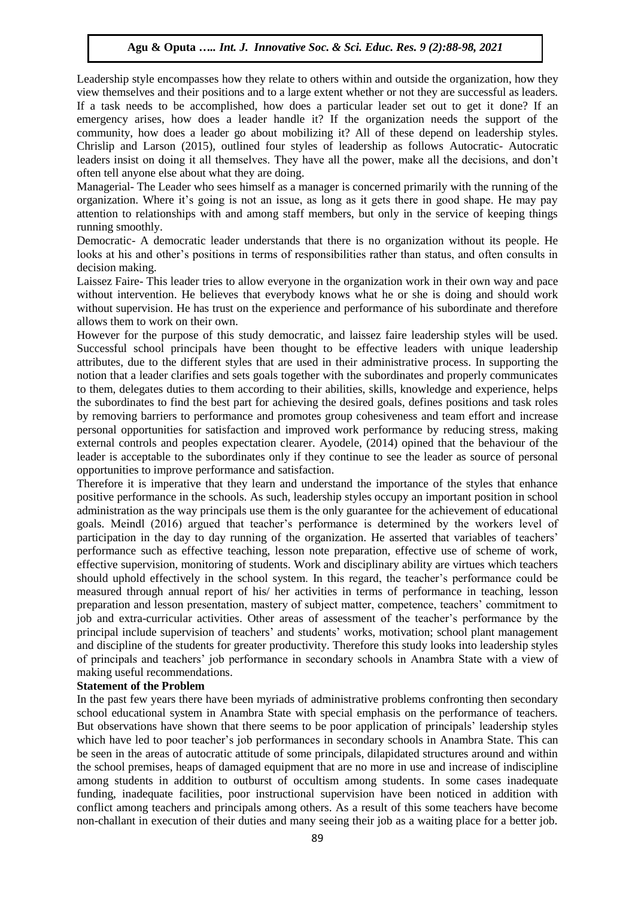Leadership style encompasses how they relate to others within and outside the organization, how they view themselves and their positions and to a large extent whether or not they are successful as leaders. If a task needs to be accomplished, how does a particular leader set out to get it done? If an emergency arises, how does a leader handle it? If the organization needs the support of the community, how does a leader go about mobilizing it? All of these depend on leadership styles. Chrislip and Larson (2015), outlined four styles of leadership as follows Autocratic- Autocratic leaders insist on doing it all themselves. They have all the power, make all the decisions, and don't often tell anyone else about what they are doing.

Managerial- The Leader who sees himself as a manager is concerned primarily with the running of the organization. Where it's going is not an issue, as long as it gets there in good shape. He may pay attention to relationships with and among staff members, but only in the service of keeping things running smoothly.

Democratic- A democratic leader understands that there is no organization without its people. He looks at his and other's positions in terms of responsibilities rather than status, and often consults in decision making.

Laissez Faire- This leader tries to allow everyone in the organization work in their own way and pace without intervention. He believes that everybody knows what he or she is doing and should work without supervision. He has trust on the experience and performance of his subordinate and therefore allows them to work on their own.

However for the purpose of this study democratic, and laissez faire leadership styles will be used. Successful school principals have been thought to be effective leaders with unique leadership attributes, due to the different styles that are used in their administrative process. In supporting the notion that a leader clarifies and sets goals together with the subordinates and properly communicates to them, delegates duties to them according to their abilities, skills, knowledge and experience, helps the subordinates to find the best part for achieving the desired goals, defines positions and task roles by removing barriers to performance and promotes group cohesiveness and team effort and increase personal opportunities for satisfaction and improved work performance by reducing stress, making external controls and peoples expectation clearer. Ayodele, (2014) opined that the behaviour of the leader is acceptable to the subordinates only if they continue to see the leader as source of personal opportunities to improve performance and satisfaction.

Therefore it is imperative that they learn and understand the importance of the styles that enhance positive performance in the schools. As such, leadership styles occupy an important position in school administration as the way principals use them is the only guarantee for the achievement of educational goals. Meindl (2016) argued that teacher's performance is determined by the workers level of participation in the day to day running of the organization. He asserted that variables of teachers' performance such as effective teaching, lesson note preparation, effective use of scheme of work, effective supervision, monitoring of students. Work and disciplinary ability are virtues which teachers should uphold effectively in the school system. In this regard, the teacher's performance could be measured through annual report of his/ her activities in terms of performance in teaching, lesson preparation and lesson presentation, mastery of subject matter, competence, teachers' commitment to job and extra-curricular activities. Other areas of assessment of the teacher's performance by the principal include supervision of teachers' and students' works, motivation; school plant management and discipline of the students for greater productivity. Therefore this study looks into leadership styles of principals and teachers' job performance in secondary schools in Anambra State with a view of making useful recommendations.

# **Statement of the Problem**

In the past few years there have been myriads of administrative problems confronting then secondary school educational system in Anambra State with special emphasis on the performance of teachers. But observations have shown that there seems to be poor application of principals' leadership styles which have led to poor teacher's job performances in secondary schools in Anambra State. This can be seen in the areas of autocratic attitude of some principals, dilapidated structures around and within the school premises, heaps of damaged equipment that are no more in use and increase of indiscipline among students in addition to outburst of occultism among students. In some cases inadequate funding, inadequate facilities, poor instructional supervision have been noticed in addition with conflict among teachers and principals among others. As a result of this some teachers have become non-challant in execution of their duties and many seeing their job as a waiting place for a better job.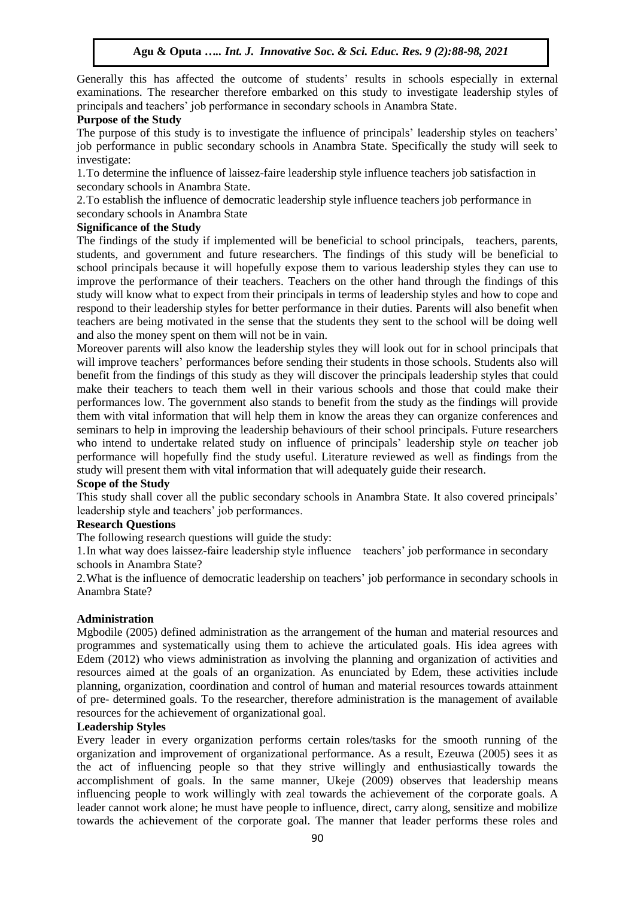Generally this has affected the outcome of students' results in schools especially in external examinations. The researcher therefore embarked on this study to investigate leadership styles of principals and teachers' job performance in secondary schools in Anambra State.

# **Purpose of the Study**

The purpose of this study is to investigate the influence of principals' leadership styles on teachers' job performance in public secondary schools in Anambra State. Specifically the study will seek to investigate:

1.To determine the influence of laissez-faire leadership style influence teachers job satisfaction in secondary schools in Anambra State.

2.To establish the influence of democratic leadership style influence teachers job performance in secondary schools in Anambra State

## **Significance of the Study**

The findings of the study if implemented will be beneficial to school principals, teachers, parents, students, and government and future researchers. The findings of this study will be beneficial to school principals because it will hopefully expose them to various leadership styles they can use to improve the performance of their teachers. Teachers on the other hand through the findings of this study will know what to expect from their principals in terms of leadership styles and how to cope and respond to their leadership styles for better performance in their duties. Parents will also benefit when teachers are being motivated in the sense that the students they sent to the school will be doing well and also the money spent on them will not be in vain.

Moreover parents will also know the leadership styles they will look out for in school principals that will improve teachers' performances before sending their students in those schools. Students also will benefit from the findings of this study as they will discover the principals leadership styles that could make their teachers to teach them well in their various schools and those that could make their performances low. The government also stands to benefit from the study as the findings will provide them with vital information that will help them in know the areas they can organize conferences and seminars to help in improving the leadership behaviours of their school principals. Future researchers who intend to undertake related study on influence of principals' leadership style *on* teacher job performance will hopefully find the study useful. Literature reviewed as well as findings from the study will present them with vital information that will adequately guide their research.

# **Scope of the Study**

This study shall cover all the public secondary schools in Anambra State. It also covered principals' leadership style and teachers' job performances.

# **Research Questions**

The following research questions will guide the study:

1.In what way does laissez-faire leadership style influence teachers' job performance in secondary schools in Anambra State?

2.What is the influence of democratic leadership on teachers' job performance in secondary schools in Anambra State?

# **Administration**

Mgbodile (2005) defined administration as the arrangement of the human and material resources and programmes and systematically using them to achieve the articulated goals. His idea agrees with Edem (2012) who views administration as involving the planning and organization of activities and resources aimed at the goals of an organization. As enunciated by Edem, these activities include planning, organization, coordination and control of human and material resources towards attainment of pre- determined goals. To the researcher, therefore administration is the management of available resources for the achievement of organizational goal.

#### **Leadership Styles**

Every leader in every organization performs certain roles/tasks for the smooth running of the organization and improvement of organizational performance. As a result, Ezeuwa (2005) sees it as the act of influencing people so that they strive willingly and enthusiastically towards the accomplishment of goals. In the same manner, Ukeje (2009) observes that leadership means influencing people to work willingly with zeal towards the achievement of the corporate goals. A leader cannot work alone; he must have people to influence, direct, carry along, sensitize and mobilize towards the achievement of the corporate goal. The manner that leader performs these roles and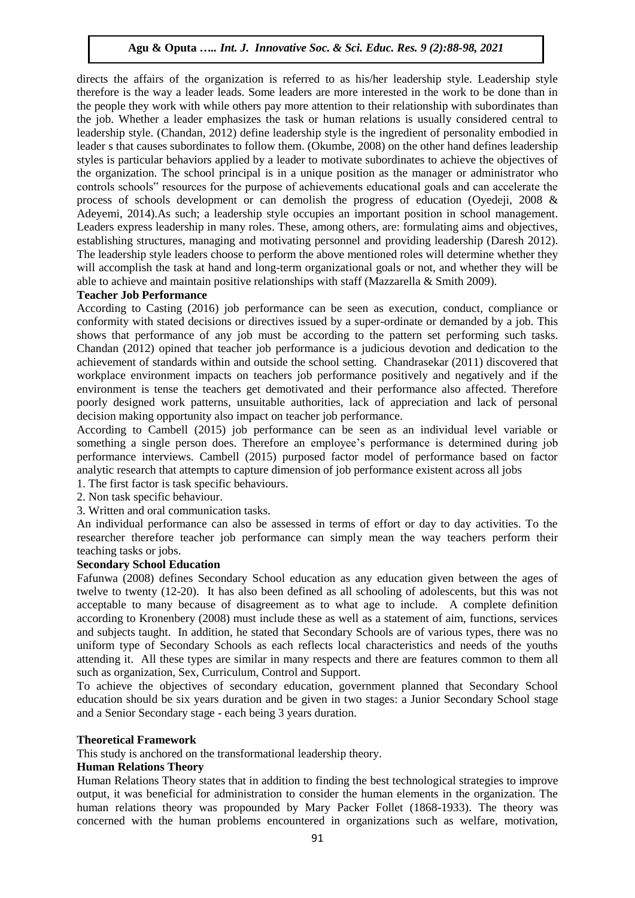directs the affairs of the organization is referred to as his/her leadership style. Leadership style therefore is the way a leader leads. Some leaders are more interested in the work to be done than in the people they work with while others pay more attention to their relationship with subordinates than the job. Whether a leader emphasizes the task or human relations is usually considered central to leadership style. (Chandan, 2012) define leadership style is the ingredient of personality embodied in leader s that causes subordinates to follow them. (Okumbe, 2008) on the other hand defines leadership styles is particular behaviors applied by a leader to motivate subordinates to achieve the objectives of the organization. The school principal is in a unique position as the manager or administrator who controls schools" resources for the purpose of achievements educational goals and can accelerate the process of schools development or can demolish the progress of education (Oyedeji, 2008 & Adeyemi, 2014).As such; a leadership style occupies an important position in school management. Leaders express leadership in many roles. These, among others, are: formulating aims and objectives, establishing structures, managing and motivating personnel and providing leadership (Daresh 2012). The leadership style leaders choose to perform the above mentioned roles will determine whether they will accomplish the task at hand and long-term organizational goals or not, and whether they will be able to achieve and maintain positive relationships with staff (Mazzarella & Smith 2009).

#### **Teacher Job Performance**

According to Casting (2016) job performance can be seen as execution, conduct, compliance or conformity with stated decisions or directives issued by a super-ordinate or demanded by a job. This shows that performance of any job must be according to the pattern set performing such tasks. Chandan (2012) opined that teacher job performance is a judicious devotion and dedication to the achievement of standards within and outside the school setting. Chandrasekar (2011) discovered that workplace environment impacts on teachers job performance positively and negatively and if the environment is tense the teachers get demotivated and their performance also affected. Therefore poorly designed work patterns, unsuitable authorities, lack of appreciation and lack of personal decision making opportunity also impact on teacher job performance.

According to Cambell (2015) job performance can be seen as an individual level variable or something a single person does. Therefore an employee's performance is determined during job performance interviews. Cambell (2015) purposed factor model of performance based on factor analytic research that attempts to capture dimension of job performance existent across all jobs

- 1. The first factor is task specific behaviours.
- 2. Non task specific behaviour.
- 3. Written and oral communication tasks.

An individual performance can also be assessed in terms of effort or day to day activities. To the researcher therefore teacher job performance can simply mean the way teachers perform their teaching tasks or jobs.

# **Secondary School Education**

Fafunwa (2008) defines Secondary School education as any education given between the ages of twelve to twenty (12-20). It has also been defined as all schooling of adolescents, but this was not acceptable to many because of disagreement as to what age to include. A complete definition according to Kronenbery (2008) must include these as well as a statement of aim, functions, services and subjects taught. In addition, he stated that Secondary Schools are of various types, there was no uniform type of Secondary Schools as each reflects local characteristics and needs of the youths attending it. All these types are similar in many respects and there are features common to them all such as organization, Sex, Curriculum, Control and Support.

To achieve the objectives of secondary education, government planned that Secondary School education should be six years duration and be given in two stages: a Junior Secondary School stage and a Senior Secondary stage - each being 3 years duration.

#### **Theoretical Framework**

This study is anchored on the transformational leadership theory.

#### **Human Relations Theory**

Human Relations Theory states that in addition to finding the best technological strategies to improve output, it was beneficial for administration to consider the human elements in the organization. The human relations theory was propounded by Mary Packer Follet (1868-1933). The theory was concerned with the human problems encountered in organizations such as welfare, motivation,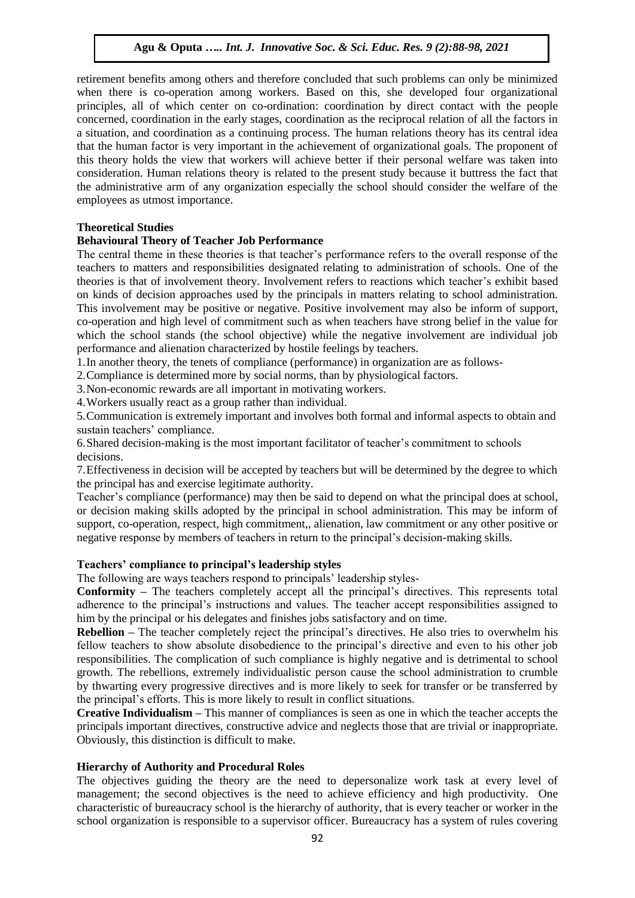retirement benefits among others and therefore concluded that such problems can only be minimized when there is co-operation among workers. Based on this, she developed four organizational principles, all of which center on co-ordination: coordination by direct contact with the people concerned, coordination in the early stages, coordination as the reciprocal relation of all the factors in a situation, and coordination as a continuing process. The human relations theory has its central idea that the human factor is very important in the achievement of organizational goals. The proponent of this theory holds the view that workers will achieve better if their personal welfare was taken into consideration. Human relations theory is related to the present study because it buttress the fact that the administrative arm of any organization especially the school should consider the welfare of the employees as utmost importance.

# **Theoretical Studies**

# **Behavioural Theory of Teacher Job Performance**

The central theme in these theories is that teacher's performance refers to the overall response of the teachers to matters and responsibilities designated relating to administration of schools. One of the theories is that of involvement theory. Involvement refers to reactions which teacher's exhibit based on kinds of decision approaches used by the principals in matters relating to school administration. This involvement may be positive or negative. Positive involvement may also be inform of support, co-operation and high level of commitment such as when teachers have strong belief in the value for which the school stands (the school objective) while the negative involvement are individual job performance and alienation characterized by hostile feelings by teachers.

1.In another theory, the tenets of compliance (performance) in organization are as follows-

2.Compliance is determined more by social norms, than by physiological factors.

3.Non-economic rewards are all important in motivating workers.

4.Workers usually react as a group rather than individual.

5.Communication is extremely important and involves both formal and informal aspects to obtain and sustain teachers' compliance.

6.Shared decision-making is the most important facilitator of teacher's commitment to schools decisions.

7.Effectiveness in decision will be accepted by teachers but will be determined by the degree to which the principal has and exercise legitimate authority.

Teacher's compliance (performance) may then be said to depend on what the principal does at school, or decision making skills adopted by the principal in school administration. This may be inform of support, co-operation, respect, high commitment,, alienation, law commitment or any other positive or negative response by members of teachers in return to the principal's decision-making skills.

# **Teachers' compliance to principal's leadership styles**

The following are ways teachers respond to principals' leadership styles-

**Conformity –** The teachers completely accept all the principal's directives. This represents total adherence to the principal's instructions and values. The teacher accept responsibilities assigned to him by the principal or his delegates and finishes jobs satisfactory and on time.

**Rebellion –** The teacher completely reject the principal's directives. He also tries to overwhelm his fellow teachers to show absolute disobedience to the principal's directive and even to his other job responsibilities. The complication of such compliance is highly negative and is detrimental to school growth. The rebellions, extremely individualistic person cause the school administration to crumble by thwarting every progressive directives and is more likely to seek for transfer or be transferred by the principal's efforts. This is more likely to result in conflict situations.

**Creative Individualism –** This manner of compliances is seen as one in which the teacher accepts the principals important directives, constructive advice and neglects those that are trivial or inappropriate. Obviously, this distinction is difficult to make.

# **Hierarchy of Authority and Procedural Roles**

The objectives guiding the theory are the need to depersonalize work task at every level of management; the second objectives is the need to achieve efficiency and high productivity. One characteristic of bureaucracy school is the hierarchy of authority, that is every teacher or worker in the school organization is responsible to a supervisor officer. Bureaucracy has a system of rules covering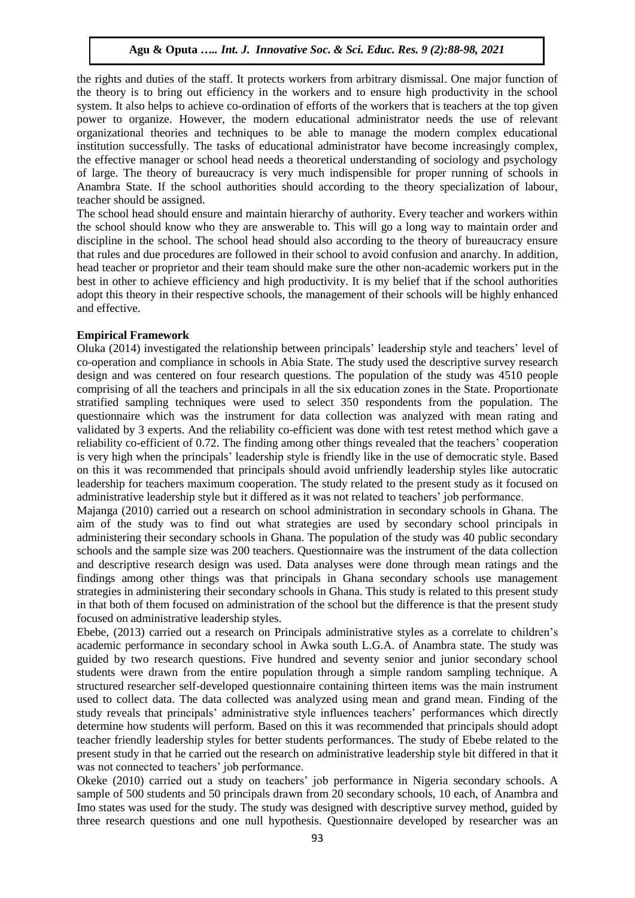the rights and duties of the staff. It protects workers from arbitrary dismissal. One major function of the theory is to bring out efficiency in the workers and to ensure high productivity in the school system. It also helps to achieve co-ordination of efforts of the workers that is teachers at the top given power to organize. However, the modern educational administrator needs the use of relevant organizational theories and techniques to be able to manage the modern complex educational institution successfully. The tasks of educational administrator have become increasingly complex, the effective manager or school head needs a theoretical understanding of sociology and psychology of large. The theory of bureaucracy is very much indispensible for proper running of schools in Anambra State. If the school authorities should according to the theory specialization of labour, teacher should be assigned.

The school head should ensure and maintain hierarchy of authority. Every teacher and workers within the school should know who they are answerable to. This will go a long way to maintain order and discipline in the school. The school head should also according to the theory of bureaucracy ensure that rules and due procedures are followed in their school to avoid confusion and anarchy. In addition, head teacher or proprietor and their team should make sure the other non-academic workers put in the best in other to achieve efficiency and high productivity. It is my belief that if the school authorities adopt this theory in their respective schools, the management of their schools will be highly enhanced and effective.

#### **Empirical Framework**

Oluka (2014) investigated the relationship between principals' leadership style and teachers' level of co-operation and compliance in schools in Abia State. The study used the descriptive survey research design and was centered on four research questions. The population of the study was 4510 people comprising of all the teachers and principals in all the six education zones in the State. Proportionate stratified sampling techniques were used to select 350 respondents from the population. The questionnaire which was the instrument for data collection was analyzed with mean rating and validated by 3 experts. And the reliability co-efficient was done with test retest method which gave a reliability co-efficient of 0.72. The finding among other things revealed that the teachers' cooperation is very high when the principals' leadership style is friendly like in the use of democratic style. Based on this it was recommended that principals should avoid unfriendly leadership styles like autocratic leadership for teachers maximum cooperation. The study related to the present study as it focused on administrative leadership style but it differed as it was not related to teachers' job performance.

Majanga (2010) carried out a research on school administration in secondary schools in Ghana. The aim of the study was to find out what strategies are used by secondary school principals in administering their secondary schools in Ghana. The population of the study was 40 public secondary schools and the sample size was 200 teachers. Questionnaire was the instrument of the data collection and descriptive research design was used. Data analyses were done through mean ratings and the findings among other things was that principals in Ghana secondary schools use management strategies in administering their secondary schools in Ghana. This study is related to this present study in that both of them focused on administration of the school but the difference is that the present study focused on administrative leadership styles.

Ebebe, (2013) carried out a research on Principals administrative styles as a correlate to children's academic performance in secondary school in Awka south L.G.A. of Anambra state. The study was guided by two research questions. Five hundred and seventy senior and junior secondary school students were drawn from the entire population through a simple random sampling technique. A structured researcher self-developed questionnaire containing thirteen items was the main instrument used to collect data. The data collected was analyzed using mean and grand mean. Finding of the study reveals that principals' administrative style influences teachers' performances which directly determine how students will perform. Based on this it was recommended that principals should adopt teacher friendly leadership styles for better students performances. The study of Ebebe related to the present study in that he carried out the research on administrative leadership style bit differed in that it was not connected to teachers' job performance.

Okeke (2010) carried out a study on teachers' job performance in Nigeria secondary schools. A sample of 500 students and 50 principals drawn from 20 secondary schools, 10 each, of Anambra and Imo states was used for the study. The study was designed with descriptive survey method, guided by three research questions and one null hypothesis. Questionnaire developed by researcher was an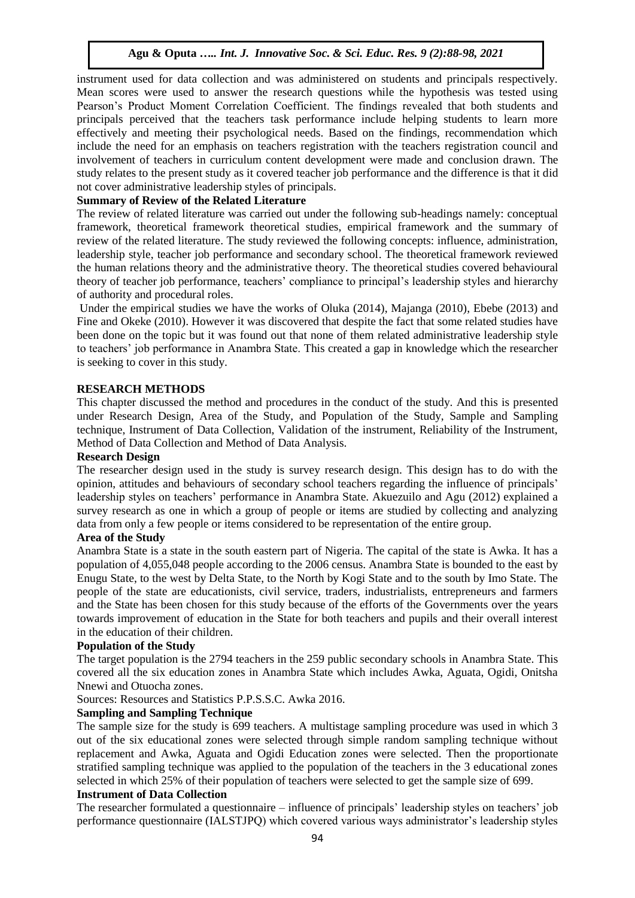instrument used for data collection and was administered on students and principals respectively. Mean scores were used to answer the research questions while the hypothesis was tested using Pearson's Product Moment Correlation Coefficient. The findings revealed that both students and principals perceived that the teachers task performance include helping students to learn more effectively and meeting their psychological needs. Based on the findings, recommendation which include the need for an emphasis on teachers registration with the teachers registration council and involvement of teachers in curriculum content development were made and conclusion drawn. The study relates to the present study as it covered teacher job performance and the difference is that it did not cover administrative leadership styles of principals.

# **Summary of Review of the Related Literature**

The review of related literature was carried out under the following sub-headings namely: conceptual framework, theoretical framework theoretical studies, empirical framework and the summary of review of the related literature. The study reviewed the following concepts: influence, administration, leadership style, teacher job performance and secondary school. The theoretical framework reviewed the human relations theory and the administrative theory. The theoretical studies covered behavioural theory of teacher job performance, teachers' compliance to principal's leadership styles and hierarchy of authority and procedural roles.

Under the empirical studies we have the works of Oluka (2014), Majanga (2010), Ebebe (2013) and Fine and Okeke (2010). However it was discovered that despite the fact that some related studies have been done on the topic but it was found out that none of them related administrative leadership style to teachers' job performance in Anambra State. This created a gap in knowledge which the researcher is seeking to cover in this study.

# **RESEARCH METHODS**

This chapter discussed the method and procedures in the conduct of the study. And this is presented under Research Design, Area of the Study, and Population of the Study, Sample and Sampling technique, Instrument of Data Collection, Validation of the instrument, Reliability of the Instrument, Method of Data Collection and Method of Data Analysis.

# **Research Design**

The researcher design used in the study is survey research design. This design has to do with the opinion, attitudes and behaviours of secondary school teachers regarding the influence of principals' leadership styles on teachers' performance in Anambra State. Akuezuilo and Agu (2012) explained a survey research as one in which a group of people or items are studied by collecting and analyzing data from only a few people or items considered to be representation of the entire group.

# **Area of the Study**

Anambra State is a state in the south eastern part of Nigeria. The capital of the state is Awka. It has a population of 4,055,048 people according to the 2006 census. Anambra State is bounded to the east by Enugu State, to the west by Delta State, to the North by Kogi State and to the south by Imo State. The people of the state are educationists, civil service, traders, industrialists, entrepreneurs and farmers and the State has been chosen for this study because of the efforts of the Governments over the years towards improvement of education in the State for both teachers and pupils and their overall interest in the education of their children.

# **Population of the Study**

The target population is the 2794 teachers in the 259 public secondary schools in Anambra State. This covered all the six education zones in Anambra State which includes Awka, Aguata, Ogidi, Onitsha Nnewi and Otuocha zones.

Sources: Resources and Statistics P.P.S.S.C. Awka 2016.

# **Sampling and Sampling Technique**

The sample size for the study is 699 teachers. A multistage sampling procedure was used in which 3 out of the six educational zones were selected through simple random sampling technique without replacement and Awka, Aguata and Ogidi Education zones were selected. Then the proportionate stratified sampling technique was applied to the population of the teachers in the 3 educational zones selected in which 25% of their population of teachers were selected to get the sample size of 699.

# **Instrument of Data Collection**

The researcher formulated a questionnaire – influence of principals' leadership styles on teachers' job performance questionnaire (IALSTJPQ) which covered various ways administrator's leadership styles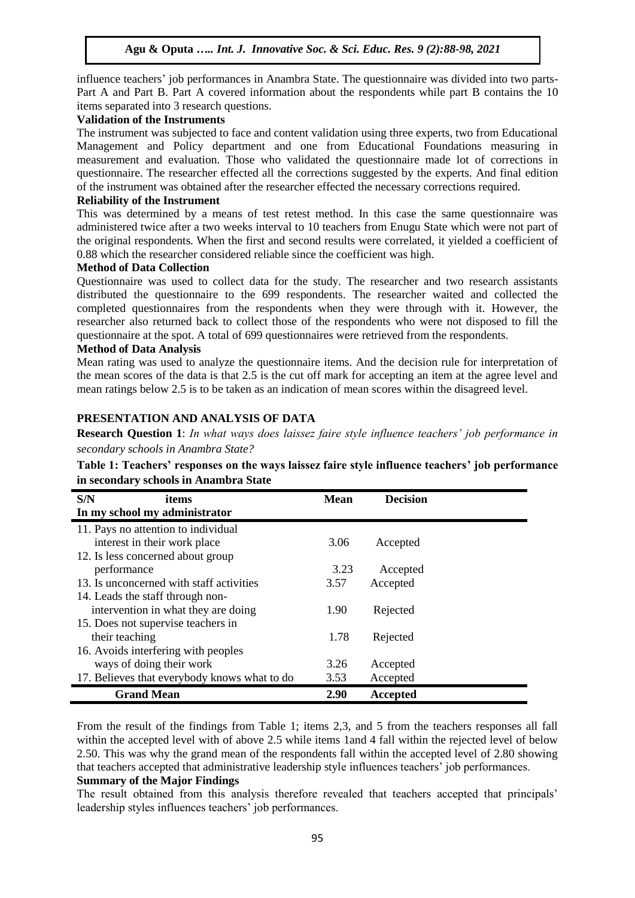influence teachers' job performances in Anambra State. The questionnaire was divided into two parts-Part A and Part B. Part A covered information about the respondents while part B contains the 10 items separated into 3 research questions.

# **Validation of the Instruments**

The instrument was subjected to face and content validation using three experts, two from Educational Management and Policy department and one from Educational Foundations measuring in measurement and evaluation. Those who validated the questionnaire made lot of corrections in questionnaire. The researcher effected all the corrections suggested by the experts. And final edition of the instrument was obtained after the researcher effected the necessary corrections required.

# **Reliability of the Instrument**

This was determined by a means of test retest method. In this case the same questionnaire was administered twice after a two weeks interval to 10 teachers from Enugu State which were not part of the original respondents. When the first and second results were correlated, it yielded a coefficient of 0.88 which the researcher considered reliable since the coefficient was high.

# **Method of Data Collection**

Questionnaire was used to collect data for the study. The researcher and two research assistants distributed the questionnaire to the 699 respondents. The researcher waited and collected the completed questionnaires from the respondents when they were through with it. However, the researcher also returned back to collect those of the respondents who were not disposed to fill the questionnaire at the spot. A total of 699 questionnaires were retrieved from the respondents.

# **Method of Data Analysis**

Mean rating was used to analyze the questionnaire items. And the decision rule for interpretation of the mean scores of the data is that 2.5 is the cut off mark for accepting an item at the agree level and mean ratings below 2.5 is to be taken as an indication of mean scores within the disagreed level.

# **PRESENTATION AND ANALYSIS OF DATA**

**Research Question 1**: *In what ways does laissez faire style influence teachers' job performance in secondary schools in Anambra State?*

| Table 1: Teachers' responses on the ways laissez faire style influence teachers' job performance |  |
|--------------------------------------------------------------------------------------------------|--|
| in secondary schools in Anambra State                                                            |  |

| S/N<br>items                                 | <b>Mean</b> | <b>Decision</b> |  |
|----------------------------------------------|-------------|-----------------|--|
| In my school my administrator                |             |                 |  |
| 11. Pays no attention to individual          |             |                 |  |
| interest in their work place                 | 3.06        | Accepted        |  |
| 12. Is less concerned about group            |             |                 |  |
| performance                                  | 3.23        | Accepted        |  |
| 13. Is unconcerned with staff activities     | 3.57        | Accepted        |  |
| 14. Leads the staff through non-             |             |                 |  |
| intervention in what they are doing          | 1.90        | Rejected        |  |
| 15. Does not supervise teachers in           |             |                 |  |
| their teaching                               | 1.78        | Rejected        |  |
| 16. Avoids interfering with peoples          |             |                 |  |
| ways of doing their work                     | 3.26        | Accepted        |  |
| 17. Believes that everybody knows what to do | 3.53        | Accepted        |  |
| <b>Grand Mean</b>                            | 2.90        | Accepted        |  |

From the result of the findings from Table 1; items 2,3, and 5 from the teachers responses all fall within the accepted level with of above 2.5 while items 1and 4 fall within the rejected level of below 2.50. This was why the grand mean of the respondents fall within the accepted level of 2.80 showing that teachers accepted that administrative leadership style influences teachers' job performances.

# **Summary of the Major Findings**

The result obtained from this analysis therefore revealed that teachers accepted that principals' leadership styles influences teachers' job performances.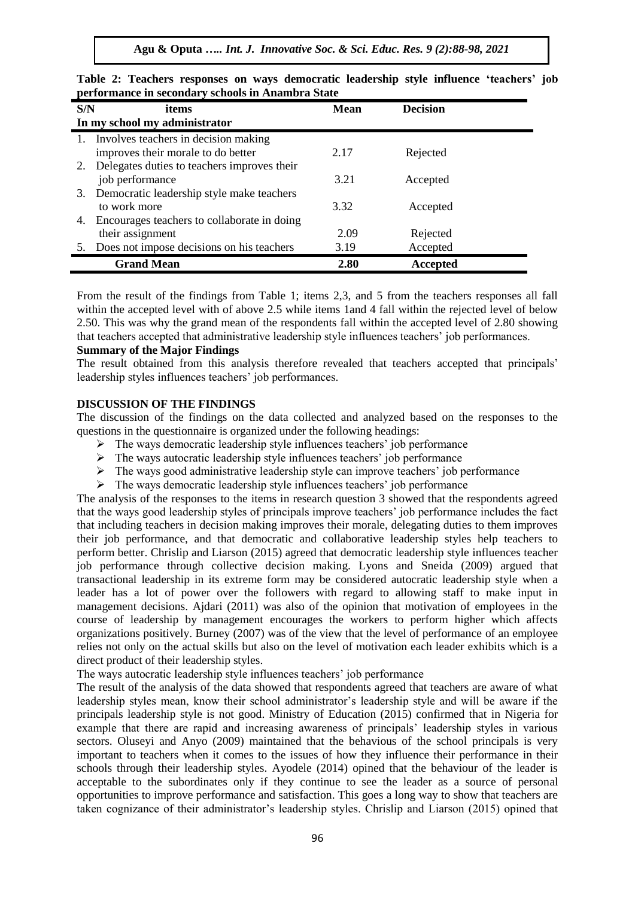**Agu & Oputa** *….. Int. J. Innovative Soc. & Sci. Educ. Res. 9 (2):88-98, 2021*

| S/N | items                                          | <b>Mean</b> | <b>Decision</b> |  |  |  |
|-----|------------------------------------------------|-------------|-----------------|--|--|--|
|     | In my school my administrator                  |             |                 |  |  |  |
|     | 1. Involves teachers in decision making        |             |                 |  |  |  |
|     | improves their morale to do better             | 2.17        | Rejected        |  |  |  |
|     | 2. Delegates duties to teachers improves their |             |                 |  |  |  |
|     | job performance                                | 3.21        | Accepted        |  |  |  |
| 3.  | Democratic leadership style make teachers      |             |                 |  |  |  |
|     | to work more                                   | 3.32        | Accepted        |  |  |  |
| 4.  | Encourages teachers to collaborate in doing    |             |                 |  |  |  |
|     | their assignment                               | 2.09        | Rejected        |  |  |  |
|     | Does not impose decisions on his teachers      | 3.19        | Accepted        |  |  |  |
|     | <b>Grand Mean</b>                              | 2.80        | Accepted        |  |  |  |

**Table 2: Teachers responses on ways democratic leadership style influence 'teachers' job performance in secondary schools in Anambra State**

From the result of the findings from Table 1; items 2,3, and 5 from the teachers responses all fall within the accepted level with of above 2.5 while items 1and 4 fall within the rejected level of below 2.50. This was why the grand mean of the respondents fall within the accepted level of 2.80 showing that teachers accepted that administrative leadership style influences teachers' job performances.

#### **Summary of the Major Findings**

The result obtained from this analysis therefore revealed that teachers accepted that principals' leadership styles influences teachers' job performances.

#### **DISCUSSION OF THE FINDINGS**

The discussion of the findings on the data collected and analyzed based on the responses to the questions in the questionnaire is organized under the following headings:

- $\triangleright$  The ways democratic leadership style influences teachers' job performance
- $\triangleright$  The ways autocratic leadership style influences teachers' job performance
- $\triangleright$  The ways good administrative leadership style can improve teachers' job performance
- $\triangleright$  The ways democratic leadership style influences teachers' job performance

The analysis of the responses to the items in research question 3 showed that the respondents agreed that the ways good leadership styles of principals improve teachers' job performance includes the fact that including teachers in decision making improves their morale, delegating duties to them improves their job performance, and that democratic and collaborative leadership styles help teachers to perform better. Chrislip and Liarson (2015) agreed that democratic leadership style influences teacher job performance through collective decision making. Lyons and Sneida (2009) argued that transactional leadership in its extreme form may be considered autocratic leadership style when a leader has a lot of power over the followers with regard to allowing staff to make input in management decisions. Ajdari (2011) was also of the opinion that motivation of employees in the course of leadership by management encourages the workers to perform higher which affects organizations positively. Burney (2007) was of the view that the level of performance of an employee relies not only on the actual skills but also on the level of motivation each leader exhibits which is a direct product of their leadership styles.

The ways autocratic leadership style influences teachers' job performance

The result of the analysis of the data showed that respondents agreed that teachers are aware of what leadership styles mean, know their school administrator's leadership style and will be aware if the principals leadership style is not good. Ministry of Education (2015) confirmed that in Nigeria for example that there are rapid and increasing awareness of principals' leadership styles in various sectors. Oluseyi and Anyo (2009) maintained that the behavious of the school principals is very important to teachers when it comes to the issues of how they influence their performance in their schools through their leadership styles. Ayodele (2014) opined that the behaviour of the leader is acceptable to the subordinates only if they continue to see the leader as a source of personal opportunities to improve performance and satisfaction. This goes a long way to show that teachers are taken cognizance of their administrator's leadership styles. Chrislip and Liarson (2015) opined that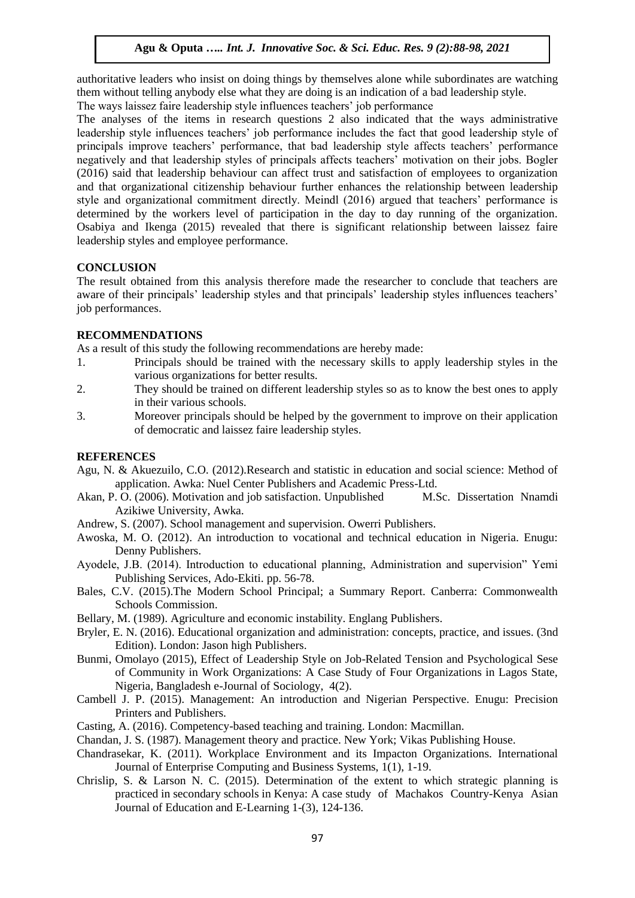authoritative leaders who insist on doing things by themselves alone while subordinates are watching them without telling anybody else what they are doing is an indication of a bad leadership style.

The ways laissez faire leadership style influences teachers' job performance

The analyses of the items in research questions 2 also indicated that the ways administrative leadership style influences teachers' job performance includes the fact that good leadership style of principals improve teachers' performance, that bad leadership style affects teachers' performance negatively and that leadership styles of principals affects teachers' motivation on their jobs. Bogler (2016) said that leadership behaviour can affect trust and satisfaction of employees to organization and that organizational citizenship behaviour further enhances the relationship between leadership style and organizational commitment directly. Meindl (2016) argued that teachers' performance is determined by the workers level of participation in the day to day running of the organization. Osabiya and Ikenga (2015) revealed that there is significant relationship between laissez faire leadership styles and employee performance.

# **CONCLUSION**

The result obtained from this analysis therefore made the researcher to conclude that teachers are aware of their principals' leadership styles and that principals' leadership styles influences teachers' job performances.

# **RECOMMENDATIONS**

As a result of this study the following recommendations are hereby made:

- 1. Principals should be trained with the necessary skills to apply leadership styles in the various organizations for better results.
- 2. They should be trained on different leadership styles so as to know the best ones to apply in their various schools.
- 3. Moreover principals should be helped by the government to improve on their application of democratic and laissez faire leadership styles.

# **REFERENCES**

- Agu, N. & Akuezuilo, C.O. (2012).Research and statistic in education and social science: Method of application. Awka: Nuel Center Publishers and Academic Press-Ltd.
- Akan, P. O. (2006). Motivation and job satisfaction. Unpublished M.Sc. Dissertation Nnamdi Azikiwe University, Awka.
- Andrew, S. (2007). School management and supervision. Owerri Publishers.
- Awoska, M. O. (2012). An introduction to vocational and technical education in Nigeria. Enugu: Denny Publishers.
- Ayodele, J.B. (2014). Introduction to educational planning, Administration and supervision" Yemi Publishing Services, Ado-Ekiti. pp. 56-78.
- Bales, C.V. (2015).The Modern School Principal; a Summary Report. Canberra: Commonwealth Schools Commission.
- Bellary, M. (1989). Agriculture and economic instability. Englang Publishers.
- Bryler, E. N. (2016). Educational organization and administration: concepts, practice, and issues. (3nd Edition). London: Jason high Publishers.
- Bunmi, Omolayo (2015), Effect of Leadership Style on Job-Related Tension and Psychological Sese of Community in Work Organizations: A Case Study of Four Organizations in Lagos State, Nigeria, Bangladesh e-Journal of Sociology, 4(2).
- Cambell J. P. (2015). Management: An introduction and Nigerian Perspective. Enugu: Precision Printers and Publishers.
- Casting, A. (2016). Competency-based teaching and training. London: Macmillan.
- Chandan, J. S. (1987). Management theory and practice. New York; Vikas Publishing House.
- Chandrasekar, K. (2011). Workplace Environment and its Impacton Organizations. International Journal of Enterprise Computing and Business Systems, 1(1), 1-19.
- Chrislip, S. & Larson N. C. (2015). Determination of the extent to which strategic planning is practiced in secondary schools in Kenya: A case study of Machakos Country-Kenya Asian Journal of Education and E-Learning 1-(3), 124-136.